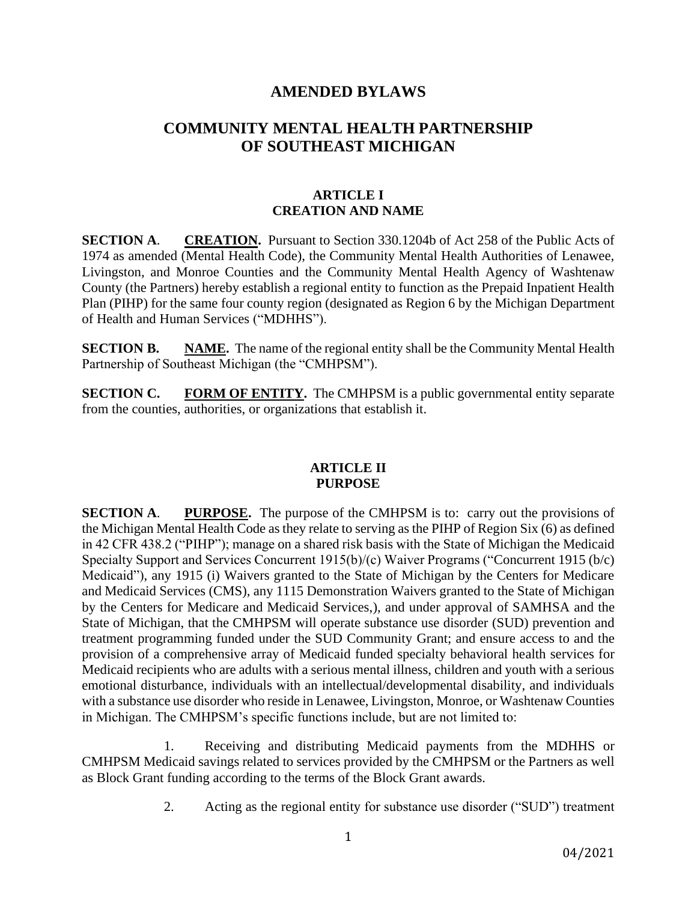## **AMENDED BYLAWS**

# **COMMUNITY MENTAL HEALTH PARTNERSHIP OF SOUTHEAST MICHIGAN**

### **ARTICLE I CREATION AND NAME**

**SECTION A**. **CREATION.** Pursuant to Section 330.1204b of Act 258 of the Public Acts of 1974 as amended (Mental Health Code), the Community Mental Health Authorities of Lenawee, Livingston, and Monroe Counties and the Community Mental Health Agency of Washtenaw County (the Partners) hereby establish a regional entity to function as the Prepaid Inpatient Health Plan (PIHP) for the same four county region (designated as Region 6 by the Michigan Department of Health and Human Services ("MDHHS").

**SECTION B. NAME.** The name of the regional entity shall be the Community Mental Health Partnership of Southeast Michigan (the "CMHPSM").

**SECTION C.** FORM OF ENTITY. The CMHPSM is a public governmental entity separate from the counties, authorities, or organizations that establish it.

#### **ARTICLE II PURPOSE**

**SECTION A**. **PURPOSE.** The purpose of the CMHPSM is to: carry out the provisions of the Michigan Mental Health Code as they relate to serving as the PIHP of Region Six (6) as defined in 42 CFR 438.2 ("PIHP"); manage on a shared risk basis with the State of Michigan the Medicaid Specialty Support and Services Concurrent 1915(b)/(c) Waiver Programs ("Concurrent 1915 (b/c) Medicaid"), any 1915 (i) Waivers granted to the State of Michigan by the Centers for Medicare and Medicaid Services (CMS), any 1115 Demonstration Waivers granted to the State of Michigan by the Centers for Medicare and Medicaid Services,), and under approval of SAMHSA and the State of Michigan, that the CMHPSM will operate substance use disorder (SUD) prevention and treatment programming funded under the SUD Community Grant; and ensure access to and the provision of a comprehensive array of Medicaid funded specialty behavioral health services for Medicaid recipients who are adults with a serious mental illness, children and youth with a serious emotional disturbance, individuals with an intellectual/developmental disability, and individuals with a substance use disorder who reside in Lenawee, Livingston, Monroe, or Washtenaw Counties in Michigan. The CMHPSM's specific functions include, but are not limited to:

1. Receiving and distributing Medicaid payments from the MDHHS or CMHPSM Medicaid savings related to services provided by the CMHPSM or the Partners as well as Block Grant funding according to the terms of the Block Grant awards.

2. Acting as the regional entity for substance use disorder ("SUD") treatment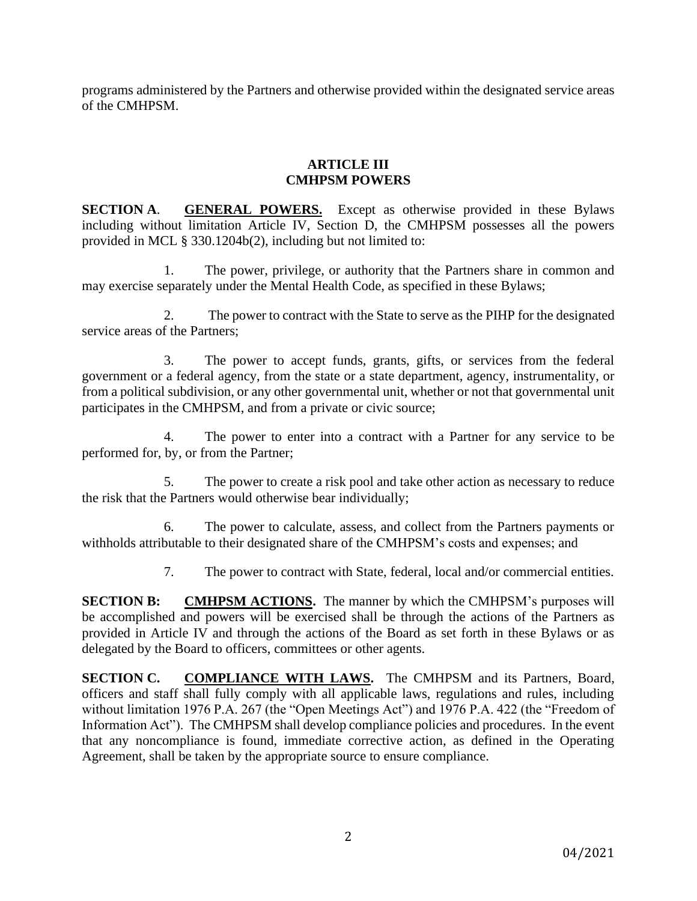programs administered by the Partners and otherwise provided within the designated service areas of the CMHPSM.

#### **ARTICLE III CMHPSM POWERS**

**SECTION A**. **GENERAL POWERS.** Except as otherwise provided in these Bylaws including without limitation Article IV, Section D, the CMHPSM possesses all the powers provided in MCL § 330.1204b(2), including but not limited to:

1. The power, privilege, or authority that the Partners share in common and may exercise separately under the Mental Health Code, as specified in these Bylaws;

2. The power to contract with the State to serve as the PIHP for the designated service areas of the Partners;

3. The power to accept funds, grants, gifts, or services from the federal government or a federal agency, from the state or a state department, agency, instrumentality, or from a political subdivision, or any other governmental unit, whether or not that governmental unit participates in the CMHPSM, and from a private or civic source;

4. The power to enter into a contract with a Partner for any service to be performed for, by, or from the Partner;

5. The power to create a risk pool and take other action as necessary to reduce the risk that the Partners would otherwise bear individually;

6. The power to calculate, assess, and collect from the Partners payments or withholds attributable to their designated share of the CMHPSM's costs and expenses; and

7. The power to contract with State, federal, local and/or commercial entities.

**SECTION B:** CMHPSM ACTIONS. The manner by which the CMHPSM's purposes will be accomplished and powers will be exercised shall be through the actions of the Partners as provided in Article IV and through the actions of the Board as set forth in these Bylaws or as delegated by the Board to officers, committees or other agents.

**SECTION C. COMPLIANCE WITH LAWS.** The CMHPSM and its Partners, Board, officers and staff shall fully comply with all applicable laws, regulations and rules, including without limitation 1976 P.A. 267 (the "Open Meetings Act") and 1976 P.A. 422 (the "Freedom of Information Act"). The CMHPSM shall develop compliance policies and procedures. In the event that any noncompliance is found, immediate corrective action, as defined in the Operating Agreement, shall be taken by the appropriate source to ensure compliance.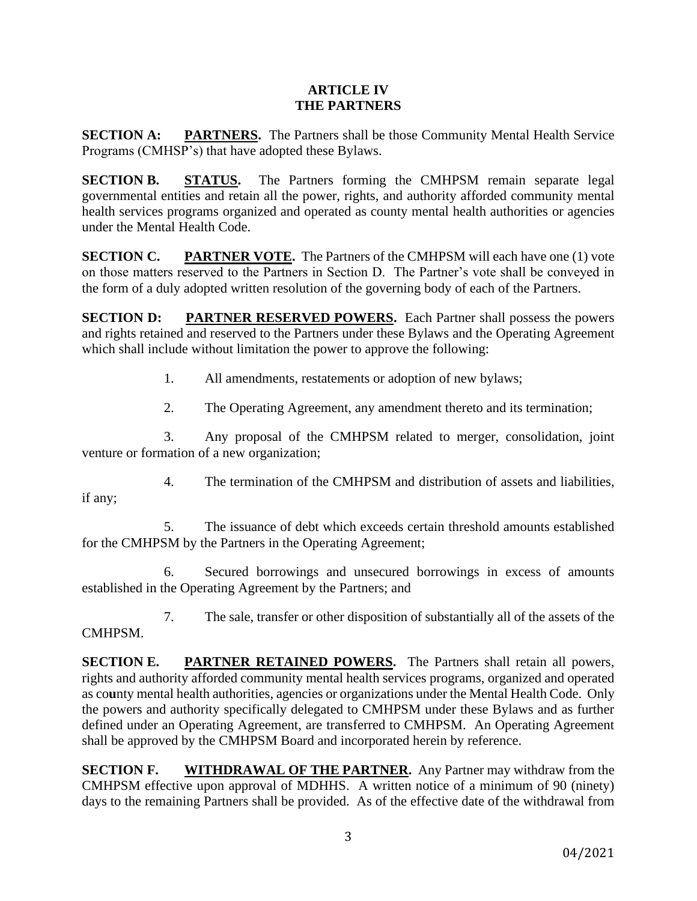#### **ARTICLE IV THE PARTNERS**

**SECTION A: PARTNERS.** The Partners shall be those Community Mental Health Service Programs (CMHSP's) that have adopted these Bylaws.

**SECTION B. STATUS.** The Partners forming the CMHPSM remain separate legal governmental entities and retain all the power, rights, and authority afforded community mental health services programs organized and operated as county mental health authorities or agencies under the Mental Health Code.

**SECTION C. PARTNER VOTE.** The Partners of the CMHPSM will each have one (1) vote on those matters reserved to the Partners in Section D. The Partner's vote shall be conveyed in the form of a duly adopted written resolution of the governing body of each of the Partners.

**SECTION D:** PARTNER RESERVED POWERS. Each Partner shall possess the powers and rights retained and reserved to the Partners under these Bylaws and the Operating Agreement which shall include without limitation the power to approve the following:

1. All amendments, restatements or adoption of new bylaws;

2. The Operating Agreement, any amendment thereto and its termination;

3. Any proposal of the CMHPSM related to merger, consolidation, joint venture or formation of a new organization;

4. The termination of the CMHPSM and distribution of assets and liabilities, if any;

5. The issuance of debt which exceeds certain threshold amounts established for the CMHPSM by the Partners in the Operating Agreement;

6. Secured borrowings and unsecured borrowings in excess of amounts established in the Operating Agreement by the Partners; and

7. The sale, transfer or other disposition of substantially all of the assets of the CMHPSM.

**SECTION E. PARTNER RETAINED POWERS.** The Partners shall retain all powers, rights and authority afforded community mental health services programs, organized and operated as co**u**nty mental health authorities, agencies or organizations under the Mental Health Code. Only the powers and authority specifically delegated to CMHPSM under these Bylaws and as further defined under an Operating Agreement, are transferred to CMHPSM. An Operating Agreement shall be approved by the CMHPSM Board and incorporated herein by reference.

**SECTION F. WITHDRAWAL OF THE PARTNER.** Any Partner may withdraw from the CMHPSM effective upon approval of MDHHS. A written notice of a minimum of 90 (ninety) days to the remaining Partners shall be provided. As of the effective date of the withdrawal from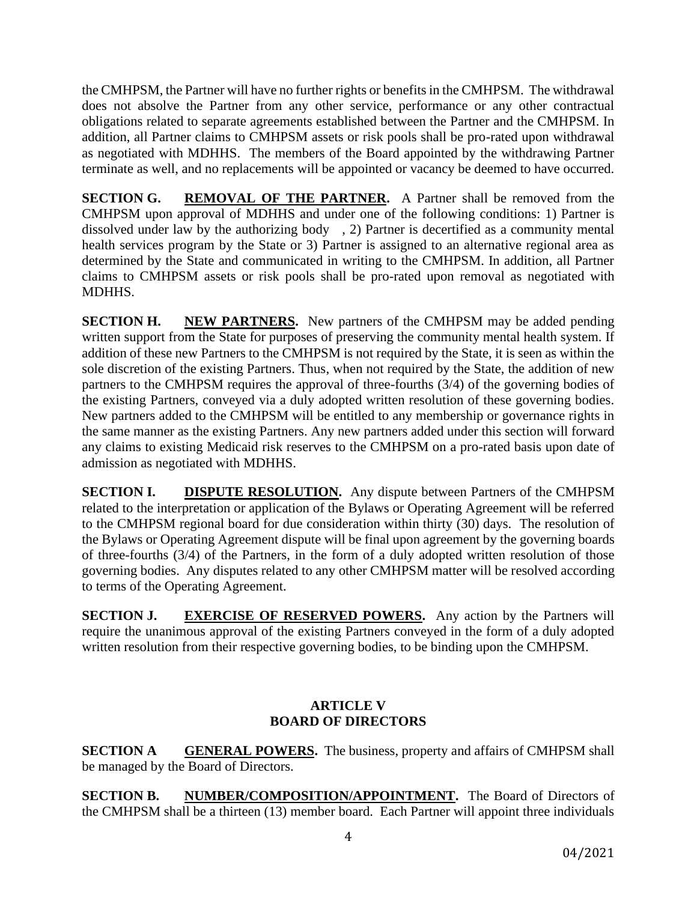the CMHPSM, the Partner will have no further rights or benefits in the CMHPSM. The withdrawal does not absolve the Partner from any other service, performance or any other contractual obligations related to separate agreements established between the Partner and the CMHPSM. In addition, all Partner claims to CMHPSM assets or risk pools shall be pro-rated upon withdrawal as negotiated with MDHHS. The members of the Board appointed by the withdrawing Partner terminate as well, and no replacements will be appointed or vacancy be deemed to have occurred.

**SECTION G. REMOVAL OF THE PARTNER.** A Partner shall be removed from the CMHPSM upon approval of MDHHS and under one of the following conditions: 1) Partner is dissolved under law by the authorizing body , 2) Partner is decertified as a community mental health services program by the State or 3) Partner is assigned to an alternative regional area as determined by the State and communicated in writing to the CMHPSM. In addition, all Partner claims to CMHPSM assets or risk pools shall be pro-rated upon removal as negotiated with MDHHS.

**SECTION H. NEW PARTNERS.** New partners of the CMHPSM may be added pending written support from the State for purposes of preserving the community mental health system. If addition of these new Partners to the CMHPSM is not required by the State, it is seen as within the sole discretion of the existing Partners. Thus, when not required by the State, the addition of new partners to the CMHPSM requires the approval of three-fourths (3/4) of the governing bodies of the existing Partners, conveyed via a duly adopted written resolution of these governing bodies. New partners added to the CMHPSM will be entitled to any membership or governance rights in the same manner as the existing Partners. Any new partners added under this section will forward any claims to existing Medicaid risk reserves to the CMHPSM on a pro-rated basis upon date of admission as negotiated with MDHHS.

**SECTION I. DISPUTE RESOLUTION.** Any dispute between Partners of the CMHPSM related to the interpretation or application of the Bylaws or Operating Agreement will be referred to the CMHPSM regional board for due consideration within thirty (30) days. The resolution of the Bylaws or Operating Agreement dispute will be final upon agreement by the governing boards of three-fourths (3/4) of the Partners, in the form of a duly adopted written resolution of those governing bodies. Any disputes related to any other CMHPSM matter will be resolved according to terms of the Operating Agreement.

**SECTION J. EXERCISE OF RESERVED POWERS.** Any action by the Partners will require the unanimous approval of the existing Partners conveyed in the form of a duly adopted written resolution from their respective governing bodies, to be binding upon the CMHPSM.

## **ARTICLE V BOARD OF DIRECTORS**

**SECTION A GENERAL POWERS.** The business, property and affairs of CMHPSM shall be managed by the Board of Directors.

**SECTION B. NUMBER/COMPOSITION/APPOINTMENT.** The Board of Directors of the CMHPSM shall be a thirteen (13) member board. Each Partner will appoint three individuals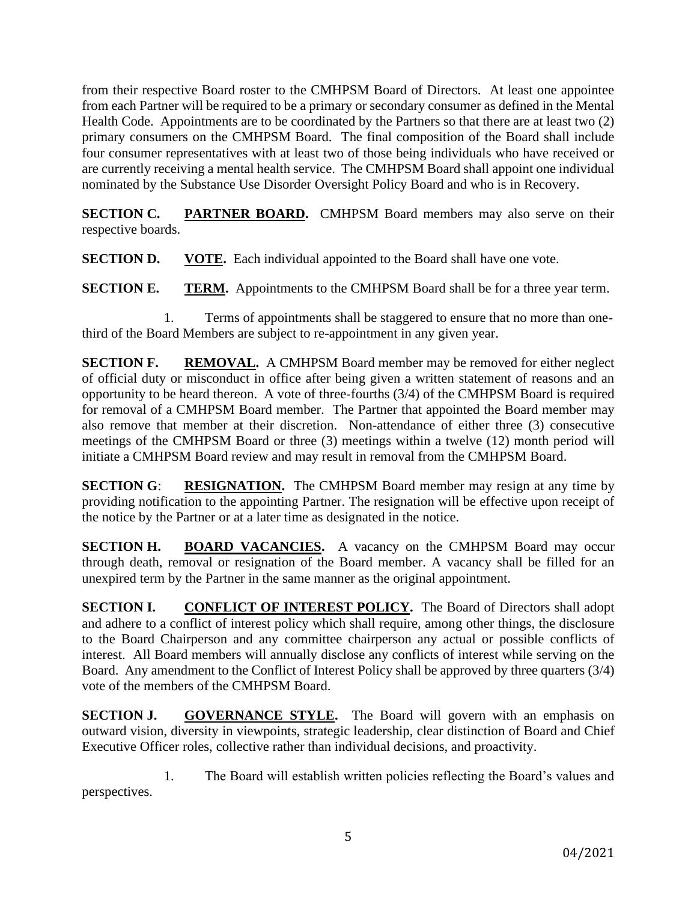from their respective Board roster to the CMHPSM Board of Directors. At least one appointee from each Partner will be required to be a primary or secondary consumer as defined in the Mental Health Code. Appointments are to be coordinated by the Partners so that there are at least two (2) primary consumers on the CMHPSM Board. The final composition of the Board shall include four consumer representatives with at least two of those being individuals who have received or are currently receiving a mental health service. The CMHPSM Board shall appoint one individual nominated by the Substance Use Disorder Oversight Policy Board and who is in Recovery.

**SECTION C. PARTNER BOARD.** CMHPSM Board members may also serve on their respective boards.

**SECTION D. VOTE.** Each individual appointed to the Board shall have one vote.

**SECTION E. TERM.** Appointments to the CMHPSM Board shall be for a three year term.

1. Terms of appointments shall be staggered to ensure that no more than onethird of the Board Members are subject to re-appointment in any given year.

**SECTION F. REMOVAL.** A CMHPSM Board member may be removed for either neglect of official duty or misconduct in office after being given a written statement of reasons and an opportunity to be heard thereon. A vote of three-fourths (3/4) of the CMHPSM Board is required for removal of a CMHPSM Board member. The Partner that appointed the Board member may also remove that member at their discretion. Non-attendance of either three (3) consecutive meetings of the CMHPSM Board or three (3) meetings within a twelve (12) month period will initiate a CMHPSM Board review and may result in removal from the CMHPSM Board.

**SECTION G: RESIGNATION.** The CMHPSM Board member may resign at any time by providing notification to the appointing Partner. The resignation will be effective upon receipt of the notice by the Partner or at a later time as designated in the notice.

**SECTION H. BOARD VACANCIES.** A vacancy on the CMHPSM Board may occur through death, removal or resignation of the Board member. A vacancy shall be filled for an unexpired term by the Partner in the same manner as the original appointment.

**SECTION I. CONFLICT OF INTEREST POLICY.** The Board of Directors shall adopt and adhere to a conflict of interest policy which shall require, among other things, the disclosure to the Board Chairperson and any committee chairperson any actual or possible conflicts of interest. All Board members will annually disclose any conflicts of interest while serving on the Board. Any amendment to the Conflict of Interest Policy shall be approved by three quarters (3/4) vote of the members of the CMHPSM Board.

**SECTION J. GOVERNANCE STYLE.** The Board will govern with an emphasis on outward vision, diversity in viewpoints, strategic leadership, clear distinction of Board and Chief Executive Officer roles, collective rather than individual decisions, and proactivity.

1. The Board will establish written policies reflecting the Board's values and perspectives.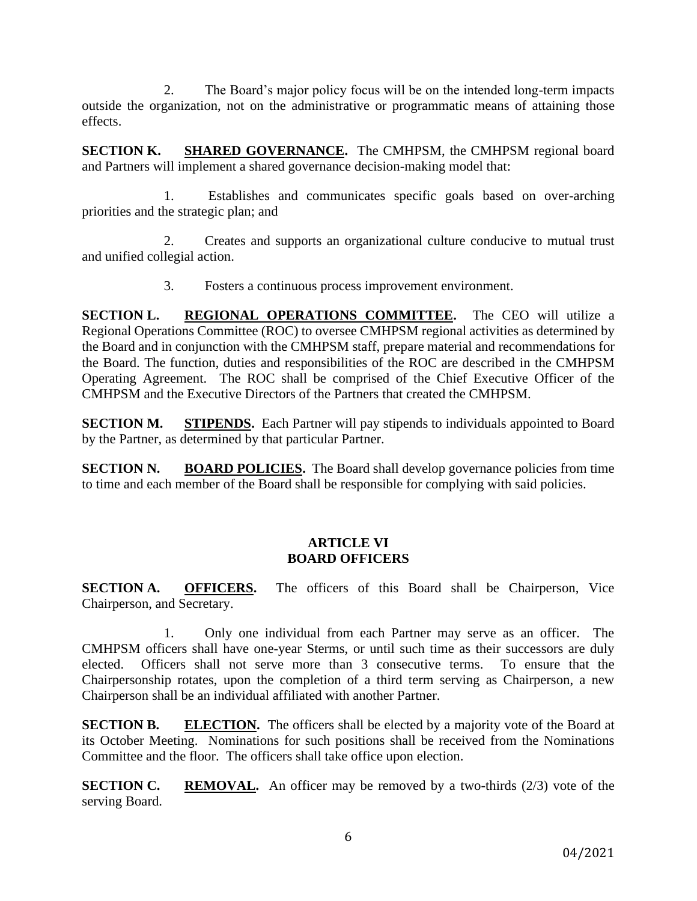2. The Board's major policy focus will be on the intended long-term impacts outside the organization, not on the administrative or programmatic means of attaining those effects.

**SECTION K. SHARED GOVERNANCE.** The CMHPSM, the CMHPSM regional board and Partners will implement a shared governance decision-making model that:

1. Establishes and communicates specific goals based on over-arching priorities and the strategic plan; and

2. Creates and supports an organizational culture conducive to mutual trust and unified collegial action.

3. Fosters a continuous process improvement environment.

**SECTION L. REGIONAL OPERATIONS COMMITTEE.** The CEO will utilize a Regional Operations Committee (ROC) to oversee CMHPSM regional activities as determined by the Board and in conjunction with the CMHPSM staff, prepare material and recommendations for the Board. The function, duties and responsibilities of the ROC are described in the CMHPSM Operating Agreement. The ROC shall be comprised of the Chief Executive Officer of the CMHPSM and the Executive Directors of the Partners that created the CMHPSM.

**SECTION M. STIPENDS.** Each Partner will pay stipends to individuals appointed to Board by the Partner, as determined by that particular Partner.

**SECTION N. BOARD POLICIES.** The Board shall develop governance policies from time to time and each member of the Board shall be responsible for complying with said policies.

### **ARTICLE VI BOARD OFFICERS**

**SECTION A. OFFICERS.** The officers of this Board shall be Chairperson, Vice Chairperson, and Secretary.

1. Only one individual from each Partner may serve as an officer. The CMHPSM officers shall have one-year Sterms, or until such time as their successors are duly elected. Officers shall not serve more than 3 consecutive terms. To ensure that the Chairpersonship rotates, upon the completion of a third term serving as Chairperson, a new Chairperson shall be an individual affiliated with another Partner.

**SECTION B. ELECTION.** The officers shall be elected by a majority vote of the Board at its October Meeting. Nominations for such positions shall be received from the Nominations Committee and the floor. The officers shall take office upon election.

**SECTION C. REMOVAL.** An officer may be removed by a two-thirds (2/3) vote of the serving Board.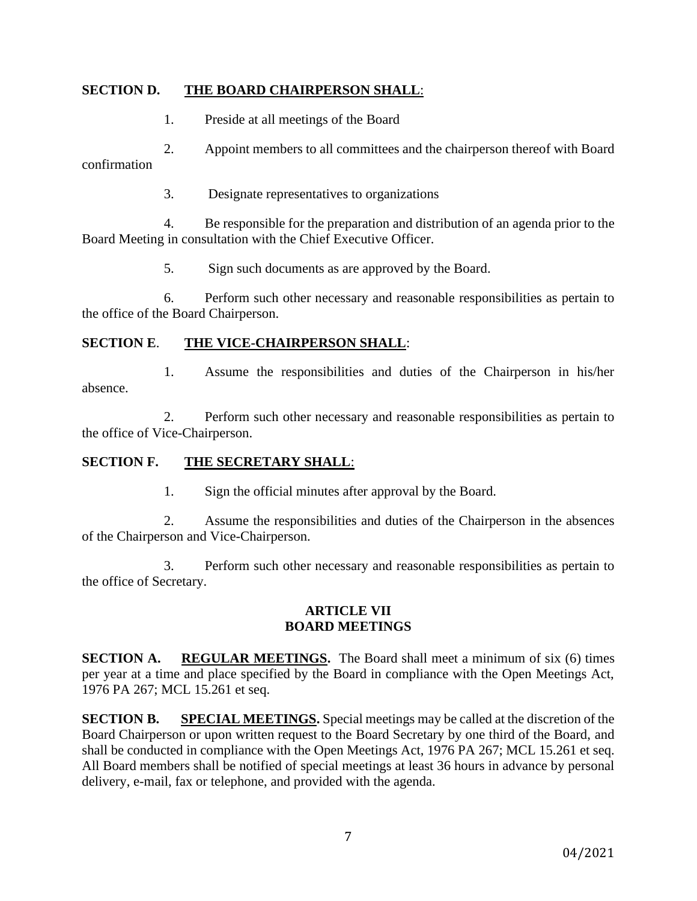### **SECTION D. THE BOARD CHAIRPERSON SHALL**:

1. Preside at all meetings of the Board

2. Appoint members to all committees and the chairperson thereof with Board confirmation

3. Designate representatives to organizations

4. Be responsible for the preparation and distribution of an agenda prior to the Board Meeting in consultation with the Chief Executive Officer.

5. Sign such documents as are approved by the Board.

6. Perform such other necessary and reasonable responsibilities as pertain to the office of the Board Chairperson.

### **SECTION E**. **THE VICE-CHAIRPERSON SHALL**:

1. Assume the responsibilities and duties of the Chairperson in his/her absence.

2. Perform such other necessary and reasonable responsibilities as pertain to the office of Vice-Chairperson.

## **SECTION F. THE SECRETARY SHALL**:

1. Sign the official minutes after approval by the Board.

2. Assume the responsibilities and duties of the Chairperson in the absences of the Chairperson and Vice-Chairperson.

3. Perform such other necessary and reasonable responsibilities as pertain to the office of Secretary.

### **ARTICLE VII BOARD MEETINGS**

**SECTION A. REGULAR MEETINGS.** The Board shall meet a minimum of six (6) times per year at a time and place specified by the Board in compliance with the Open Meetings Act, 1976 PA 267; MCL 15.261 et seq.

**SECTION B.** SPECIAL MEETINGS. Special meetings may be called at the discretion of the Board Chairperson or upon written request to the Board Secretary by one third of the Board, and shall be conducted in compliance with the Open Meetings Act, 1976 PA 267; MCL 15.261 et seq. All Board members shall be notified of special meetings at least 36 hours in advance by personal delivery, e-mail, fax or telephone, and provided with the agenda.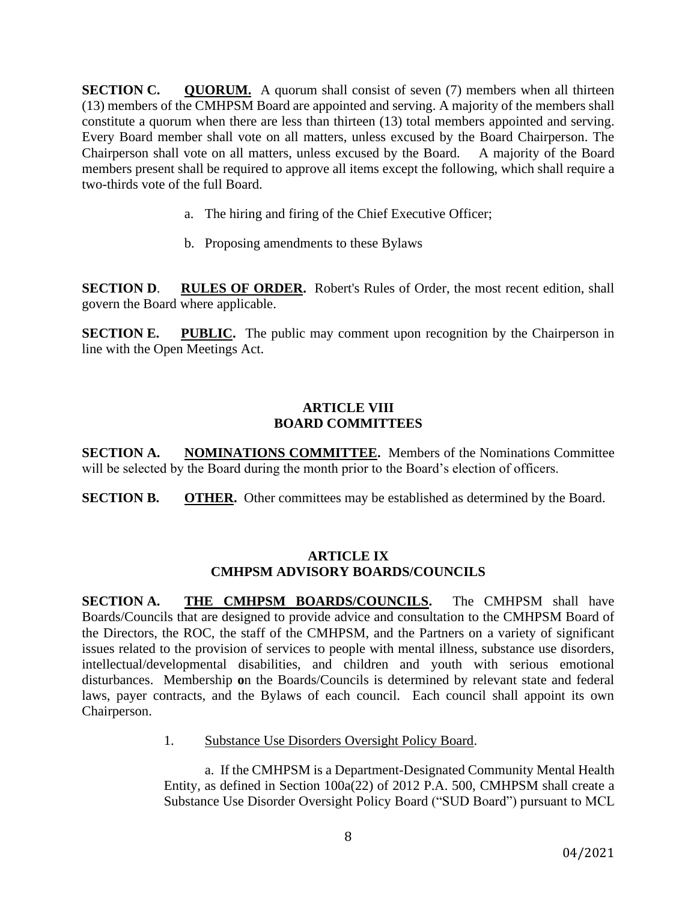**SECTION C.** QUORUM. A quorum shall consist of seven (7) members when all thirteen (13) members of the CMHPSM Board are appointed and serving. A majority of the members shall constitute a quorum when there are less than thirteen (13) total members appointed and serving. Every Board member shall vote on all matters, unless excused by the Board Chairperson. The Chairperson shall vote on all matters, unless excused by the Board. A majority of the Board members present shall be required to approve all items except the following, which shall require a two-thirds vote of the full Board.

- a. The hiring and firing of the Chief Executive Officer;
- b. Proposing amendments to these Bylaws

**SECTION D**. **RULES OF ORDER.** Robert's Rules of Order, the most recent edition, shall govern the Board where applicable.

**SECTION E. PUBLIC.** The public may comment upon recognition by the Chairperson in line with the Open Meetings Act.

### **ARTICLE VIII BOARD COMMITTEES**

**SECTION A. NOMINATIONS COMMITTEE.** Members of the Nominations Committee will be selected by the Board during the month prior to the Board's election of officers.

**SECTION B. OTHER.** Other committees may be established as determined by the Board.

### **ARTICLE IX CMHPSM ADVISORY BOARDS/COUNCILS**

**SECTION A. THE CMHPSM BOARDS/COUNCILS.** The CMHPSM shall have Boards/Councils that are designed to provide advice and consultation to the CMHPSM Board of the Directors, the ROC, the staff of the CMHPSM, and the Partners on a variety of significant issues related to the provision of services to people with mental illness, substance use disorders, intellectual/developmental disabilities, and children and youth with serious emotional disturbances. Membership **o**n the Boards/Councils is determined by relevant state and federal laws, payer contracts, and the Bylaws of each council. Each council shall appoint its own Chairperson.

1. Substance Use Disorders Oversight Policy Board.

a. If the CMHPSM is a Department-Designated Community Mental Health Entity, as defined in Section 100a(22) of 2012 P.A. 500, CMHPSM shall create a Substance Use Disorder Oversight Policy Board ("SUD Board") pursuant to MCL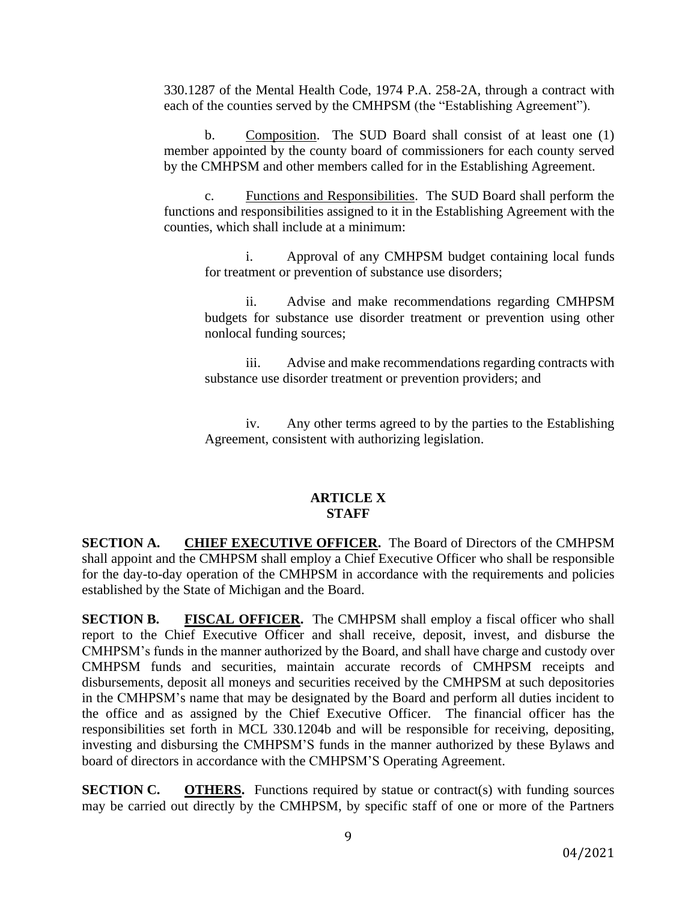330.1287 of the Mental Health Code, 1974 P.A. 258-2A, through a contract with each of the counties served by the CMHPSM (the "Establishing Agreement").

b. Composition. The SUD Board shall consist of at least one (1) member appointed by the county board of commissioners for each county served by the CMHPSM and other members called for in the Establishing Agreement.

c. Functions and Responsibilities. The SUD Board shall perform the functions and responsibilities assigned to it in the Establishing Agreement with the counties, which shall include at a minimum:

i. Approval of any CMHPSM budget containing local funds for treatment or prevention of substance use disorders;

ii. Advise and make recommendations regarding CMHPSM budgets for substance use disorder treatment or prevention using other nonlocal funding sources;

iii. Advise and make recommendations regarding contracts with substance use disorder treatment or prevention providers; and

iv. Any other terms agreed to by the parties to the Establishing Agreement, consistent with authorizing legislation.

#### **ARTICLE X STAFF**

**SECTION A. CHIEF EXECUTIVE OFFICER.** The Board of Directors of the CMHPSM shall appoint and the CMHPSM shall employ a Chief Executive Officer who shall be responsible for the day-to-day operation of the CMHPSM in accordance with the requirements and policies established by the State of Michigan and the Board.

**SECTION B. FISCAL OFFICER.** The CMHPSM shall employ a fiscal officer who shall report to the Chief Executive Officer and shall receive, deposit, invest, and disburse the CMHPSM's funds in the manner authorized by the Board, and shall have charge and custody over CMHPSM funds and securities, maintain accurate records of CMHPSM receipts and disbursements, deposit all moneys and securities received by the CMHPSM at such depositories in the CMHPSM's name that may be designated by the Board and perform all duties incident to the office and as assigned by the Chief Executive Officer. The financial officer has the responsibilities set forth in MCL 330.1204b and will be responsible for receiving, depositing, investing and disbursing the CMHPSM'S funds in the manner authorized by these Bylaws and board of directors in accordance with the CMHPSM'S Operating Agreement.

**SECTION C. OTHERS.** Functions required by statue or contract(s) with funding sources may be carried out directly by the CMHPSM, by specific staff of one or more of the Partners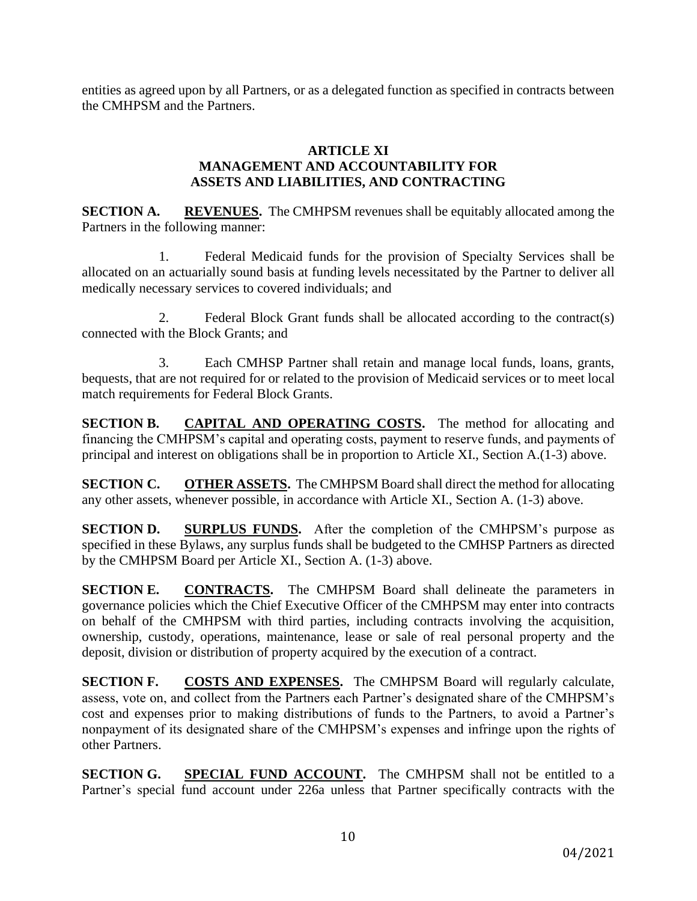entities as agreed upon by all Partners, or as a delegated function as specified in contracts between the CMHPSM and the Partners.

### **ARTICLE XI MANAGEMENT AND ACCOUNTABILITY FOR ASSETS AND LIABILITIES, AND CONTRACTING**

**SECTION A. REVENUES.** The CMHPSM revenues shall be equitably allocated among the Partners in the following manner:

1. Federal Medicaid funds for the provision of Specialty Services shall be allocated on an actuarially sound basis at funding levels necessitated by the Partner to deliver all medically necessary services to covered individuals; and

2. Federal Block Grant funds shall be allocated according to the contract(s) connected with the Block Grants; and

3. Each CMHSP Partner shall retain and manage local funds, loans, grants, bequests, that are not required for or related to the provision of Medicaid services or to meet local match requirements for Federal Block Grants.

**SECTION B. CAPITAL AND OPERATING COSTS.** The method for allocating and financing the CMHPSM's capital and operating costs, payment to reserve funds, and payments of principal and interest on obligations shall be in proportion to Article XI., Section A.(1-3) above.

**SECTION C. OTHER ASSETS.** The CMHPSM Board shall direct the method for allocating any other assets, whenever possible, in accordance with Article XI., Section A. (1-3) above.

**SECTION D. SURPLUS FUNDS.** After the completion of the CMHPSM's purpose as specified in these Bylaws, any surplus funds shall be budgeted to the CMHSP Partners as directed by the CMHPSM Board per Article XI., Section A. (1-3) above.

**SECTION E. CONTRACTS.** The CMHPSM Board shall delineate the parameters in governance policies which the Chief Executive Officer of the CMHPSM may enter into contracts on behalf of the CMHPSM with third parties, including contracts involving the acquisition, ownership, custody, operations, maintenance, lease or sale of real personal property and the deposit, division or distribution of property acquired by the execution of a contract.

**SECTION F. COSTS AND EXPENSES.** The CMHPSM Board will regularly calculate, assess, vote on, and collect from the Partners each Partner's designated share of the CMHPSM's cost and expenses prior to making distributions of funds to the Partners, to avoid a Partner's nonpayment of its designated share of the CMHPSM's expenses and infringe upon the rights of other Partners.

**SECTION G. SPECIAL FUND ACCOUNT.** The CMHPSM shall not be entitled to a Partner's special fund account under 226a unless that Partner specifically contracts with the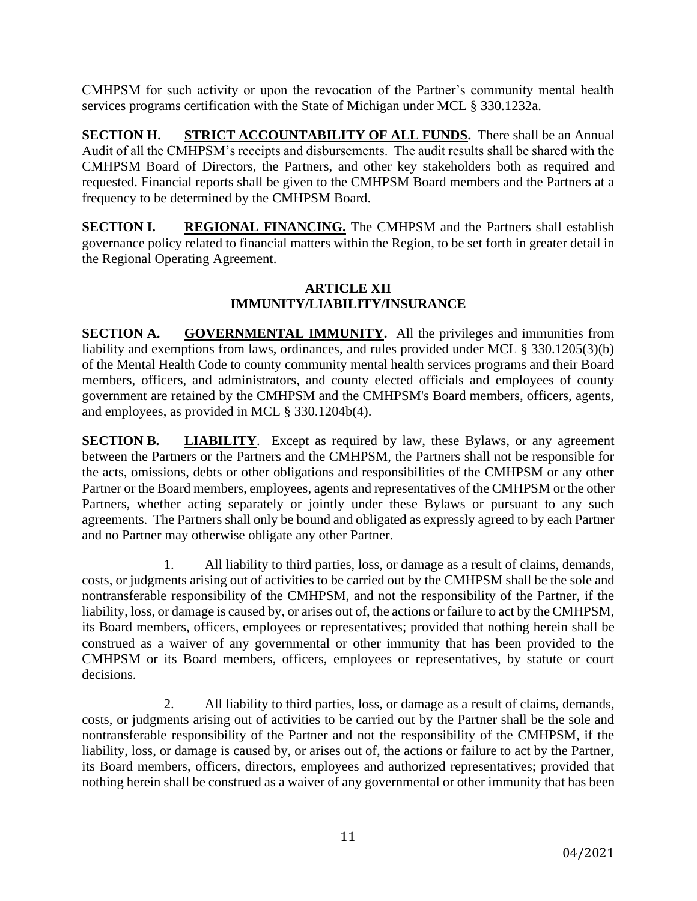CMHPSM for such activity or upon the revocation of the Partner's community mental health services programs certification with the State of Michigan under MCL § 330.1232a.

**SECTION H. STRICT ACCOUNTABILITY OF ALL FUNDS.** There shall be an Annual Audit of all the CMHPSM's receipts and disbursements. The audit results shall be shared with the CMHPSM Board of Directors, the Partners, and other key stakeholders both as required and requested. Financial reports shall be given to the CMHPSM Board members and the Partners at a frequency to be determined by the CMHPSM Board.

**SECTION I. REGIONAL FINANCING.** The CMHPSM and the Partners shall establish governance policy related to financial matters within the Region, to be set forth in greater detail in the Regional Operating Agreement.

### **ARTICLE XII IMMUNITY/LIABILITY/INSURANCE**

**SECTION A. GOVERNMENTAL IMMUNITY.** All the privileges and immunities from liability and exemptions from laws, ordinances, and rules provided under MCL § 330.1205(3)(b) of the Mental Health Code to county community mental health services programs and their Board members, officers, and administrators, and county elected officials and employees of county government are retained by the CMHPSM and the CMHPSM's Board members, officers, agents, and employees, as provided in MCL § 330.1204b(4).

**SECTION B. LIABILITY**. Except as required by law, these Bylaws, or any agreement between the Partners or the Partners and the CMHPSM, the Partners shall not be responsible for the acts, omissions, debts or other obligations and responsibilities of the CMHPSM or any other Partner or the Board members, employees, agents and representatives of the CMHPSM or the other Partners, whether acting separately or jointly under these Bylaws or pursuant to any such agreements. The Partners shall only be bound and obligated as expressly agreed to by each Partner and no Partner may otherwise obligate any other Partner.

1. All liability to third parties, loss, or damage as a result of claims, demands, costs, or judgments arising out of activities to be carried out by the CMHPSM shall be the sole and nontransferable responsibility of the CMHPSM, and not the responsibility of the Partner, if the liability, loss, or damage is caused by, or arises out of, the actions or failure to act by the CMHPSM, its Board members, officers, employees or representatives; provided that nothing herein shall be construed as a waiver of any governmental or other immunity that has been provided to the CMHPSM or its Board members, officers, employees or representatives, by statute or court decisions.

2. All liability to third parties, loss, or damage as a result of claims, demands, costs, or judgments arising out of activities to be carried out by the Partner shall be the sole and nontransferable responsibility of the Partner and not the responsibility of the CMHPSM, if the liability, loss, or damage is caused by, or arises out of, the actions or failure to act by the Partner, its Board members, officers, directors, employees and authorized representatives; provided that nothing herein shall be construed as a waiver of any governmental or other immunity that has been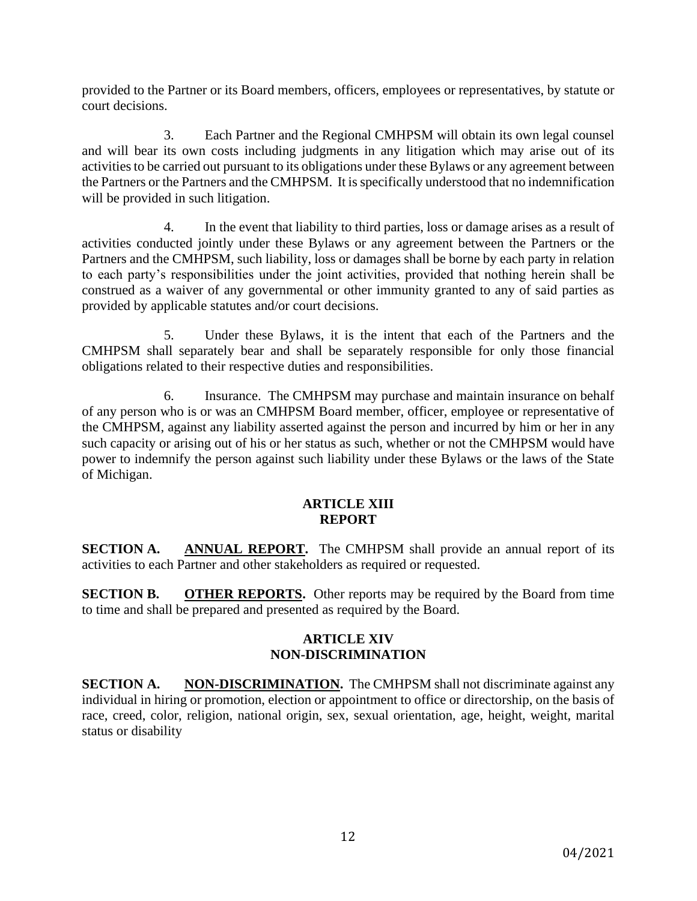provided to the Partner or its Board members, officers, employees or representatives, by statute or court decisions.

3. Each Partner and the Regional CMHPSM will obtain its own legal counsel and will bear its own costs including judgments in any litigation which may arise out of its activities to be carried out pursuant to its obligations under these Bylaws or any agreement between the Partners or the Partners and the CMHPSM. It is specifically understood that no indemnification will be provided in such litigation.

4. In the event that liability to third parties, loss or damage arises as a result of activities conducted jointly under these Bylaws or any agreement between the Partners or the Partners and the CMHPSM, such liability, loss or damages shall be borne by each party in relation to each party's responsibilities under the joint activities, provided that nothing herein shall be construed as a waiver of any governmental or other immunity granted to any of said parties as provided by applicable statutes and/or court decisions.

5. Under these Bylaws, it is the intent that each of the Partners and the CMHPSM shall separately bear and shall be separately responsible for only those financial obligations related to their respective duties and responsibilities.

6. Insurance. The CMHPSM may purchase and maintain insurance on behalf of any person who is or was an CMHPSM Board member, officer, employee or representative of the CMHPSM, against any liability asserted against the person and incurred by him or her in any such capacity or arising out of his or her status as such, whether or not the CMHPSM would have power to indemnify the person against such liability under these Bylaws or the laws of the State of Michigan.

### **ARTICLE XIII REPORT**

**SECTION A.** ANNUAL REPORT. The CMHPSM shall provide an annual report of its activities to each Partner and other stakeholders as required or requested.

**SECTION B. OTHER REPORTS.** Other reports may be required by the Board from time to time and shall be prepared and presented as required by the Board.

## **ARTICLE XIV NON-DISCRIMINATION**

**SECTION A. NON-DISCRIMINATION.** The CMHPSM shall not discriminate against any individual in hiring or promotion, election or appointment to office or directorship, on the basis of race, creed, color, religion, national origin, sex, sexual orientation, age, height, weight, marital status or disability